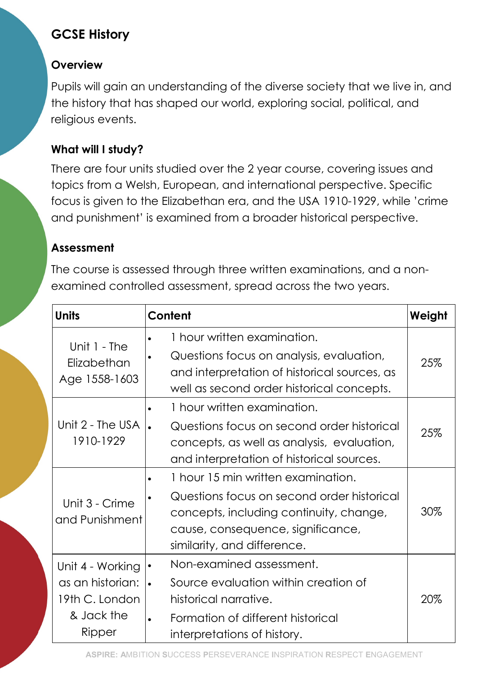# GCSE History

## **Overview**

Pupils will gain an understanding of the diverse society that we live in, and the history that has shaped our world, exploring social, political, and religious events.

## What will I study?

There are four units studied over the 2 year course, covering issues and topics from a Welsh, European, and international perspective. Specific focus is given to the Elizabethan era, and the USA 1910-1929, while 'crime and punishment' is examined from a broader historical perspective.

#### Assessment

The course is assessed through three written examinations, and a nonexamined controlled assessment, spread across the two years.

| <b>Units</b>                                                                   | Content                                                                                                                                                                                                      | Weight |
|--------------------------------------------------------------------------------|--------------------------------------------------------------------------------------------------------------------------------------------------------------------------------------------------------------|--------|
| Unit 1 - The<br>Elizabethan<br>Age 1558-1603                                   | 1 hour written examination.<br>Questions focus on analysis, evaluation,<br>and interpretation of historical sources, as<br>well as second order historical concepts.                                         | 25%    |
| Unit 2 - The USA<br>1910-1929                                                  | 1 hour written examination.<br>Questions focus on second order historical<br>concepts, as well as analysis, evaluation,<br>and interpretation of historical sources.                                         | 25%    |
| Unit 3 - Crime<br>and Punishment                                               | 1 hour 15 min written examination.<br>$\bullet$<br>Questions focus on second order historical<br>concepts, including continuity, change,<br>cause, consequence, significance,<br>similarity, and difference. | 30%    |
| Unit 4 - Working<br>as an historian:<br>19th C. London<br>& Jack the<br>Ripper | Non-examined assessment.<br>Source evaluation within creation of<br>$\bullet$<br>historical narrative.<br>Formation of different historical<br>interpretations of history.                                   | 20%    |